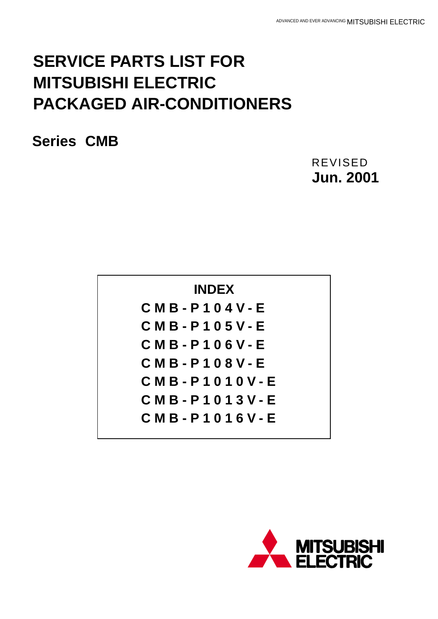# **SERVICE PARTS LIST FOR MITSUBISHI ELECTRIC PACKAGED AIR-CONDITIONERS**

**Series CMB**

**Jun. 2001** REVISED

| <b>INDEX</b>            |
|-------------------------|
| C M B - P 1 0 4 V - E   |
| $CMB - P105V - E$       |
| $CMB - P106V - E$       |
| C M B - P 1 0 8 V - E   |
| $CMB - P1010V - E$      |
| C M B - P 1 0 1 3 V - E |
| C M B - P 1 0 1 6 V - E |
|                         |

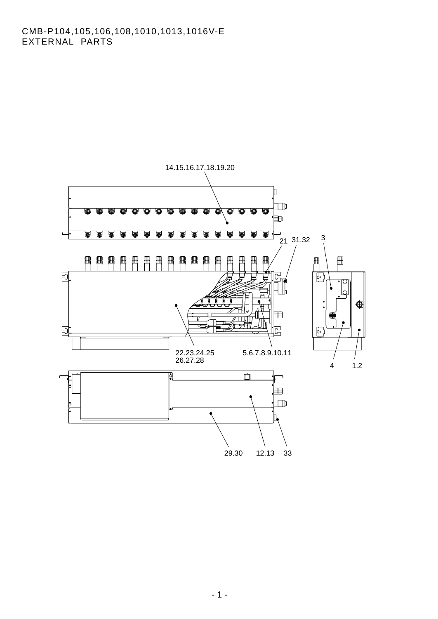# CMB-P104,105,106,108,1010,1013,1016V-E EXTERNAL PARTS

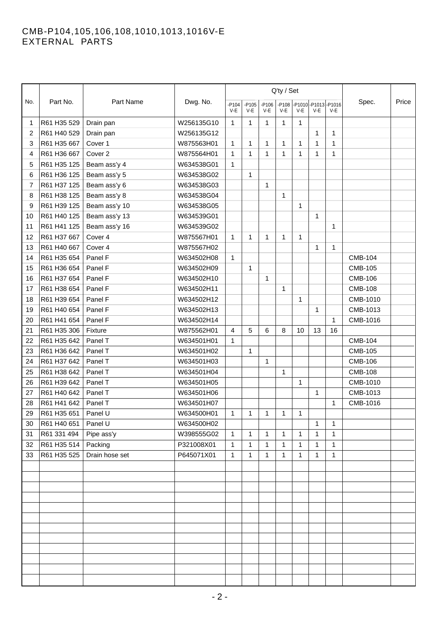#### CMB-P104,105,106,108,1010,1013,1016V-E EXTERNAL PARTS

|     | Part No.    | Part Name            | Dwg. No.   |                |                                                                                                   |              | Q'ty / Set   |              |              |              |                |  |
|-----|-------------|----------------------|------------|----------------|---------------------------------------------------------------------------------------------------|--------------|--------------|--------------|--------------|--------------|----------------|--|
| No. |             |                      |            | $-P104$<br>V-E | -P1010-P1013-P1016<br>$-P105$<br>$-P106$<br>$-P108$<br>V-E<br>$V-E$<br>V-E<br>$V-E$<br>V-E<br>V-E | Spec.        | Price        |              |              |              |                |  |
| 1   | R61 H35 529 |                      | W256135G10 | 1              | 1                                                                                                 | 1            | 1            | 1            |              |              |                |  |
| 2   | R61 H40 529 | Drain pan            | W256135G12 |                |                                                                                                   |              |              |              | 1            | 1            |                |  |
|     |             | Drain pan<br>Cover 1 |            |                | 1                                                                                                 |              |              | $\mathbf{1}$ | $\mathbf{1}$ | $\mathbf{1}$ |                |  |
| 3   | R61 H35 667 |                      | W875563H01 | $\mathbf{1}$   |                                                                                                   | 1            | 1            |              |              |              |                |  |
| 4   | R61 H36 667 | Cover 2              | W875564H01 | 1              | 1                                                                                                 | 1            | 1            | 1            | 1            | 1            |                |  |
| 5   | R61 H35 125 | Beam ass'y 4         | W634538G01 | 1              |                                                                                                   |              |              |              |              |              |                |  |
| 6   | R61 H36 125 | Beam ass'y 5         | W634538G02 |                | $\mathbf{1}$                                                                                      |              |              |              |              |              |                |  |
| 7   | R61 H37 125 | Beam ass'y 6         | W634538G03 |                |                                                                                                   | 1            |              |              |              |              |                |  |
| 8   | R61 H38 125 | Beam ass'y 8         | W634538G04 |                |                                                                                                   |              | 1            |              |              |              |                |  |
| 9   | R61 H39 125 | Beam ass'y 10        | W634538G05 |                |                                                                                                   |              |              | 1            |              |              |                |  |
| 10  | R61 H40 125 | Beam ass'y 13        | W634539G01 |                |                                                                                                   |              |              |              | 1            |              |                |  |
| 11  | R61 H41 125 | Beam ass'y 16        | W634539G02 |                |                                                                                                   |              |              |              |              | 1            |                |  |
| 12  | R61 H37 667 | Cover 4              | W875567H01 | $\mathbf{1}$   | 1                                                                                                 | 1            | 1            | $\mathbf{1}$ |              |              |                |  |
| 13  | R61 H40 667 | Cover 4              | W875567H02 |                |                                                                                                   |              |              |              | $\mathbf{1}$ | 1            |                |  |
| 14  | R61 H35 654 | Panel F              | W634502H08 | $\mathbf{1}$   |                                                                                                   |              |              |              |              |              | <b>CMB-104</b> |  |
| 15  | R61 H36 654 | Panel F              | W634502H09 |                | 1                                                                                                 |              |              |              |              |              | <b>CMB-105</b> |  |
| 16  | R61 H37 654 | Panel F              | W634502H10 |                |                                                                                                   | 1            |              |              |              |              | <b>CMB-106</b> |  |
| 17  | R61 H38 654 | Panel F              | W634502H11 |                |                                                                                                   |              | $\mathbf{1}$ |              |              |              | <b>CMB-108</b> |  |
| 18  | R61 H39 654 | Panel F              | W634502H12 |                |                                                                                                   |              |              | 1            |              |              | CMB-1010       |  |
| 19  | R61 H40 654 | Panel F              | W634502H13 |                |                                                                                                   |              |              |              | $\mathbf{1}$ |              | CMB-1013       |  |
| 20  | R61 H41 654 | Panel F              | W634502H14 |                |                                                                                                   |              |              |              |              | $\mathbf{1}$ | CMB-1016       |  |
| 21  | R61 H35 306 | Fixture              | W875562H01 | 4              | 5                                                                                                 | 6            | 8            | 10           | 13           | 16           |                |  |
| 22  | R61 H35 642 | Panel T              | W634501H01 | $\mathbf{1}$   |                                                                                                   |              |              |              |              |              | <b>CMB-104</b> |  |
| 23  | R61 H36 642 | Panel T              | W634501H02 |                | 1                                                                                                 |              |              |              |              |              | <b>CMB-105</b> |  |
| 24  | R61 H37 642 | Panel T              | W634501H03 |                |                                                                                                   | 1            |              |              |              |              | <b>CMB-106</b> |  |
| 25  | R61 H38 642 | Panel T              | W634501H04 |                |                                                                                                   |              | $\mathbf{1}$ |              |              |              | <b>CMB-108</b> |  |
| 26  | R61 H39 642 | Panel T              | W634501H05 |                |                                                                                                   |              |              | 1            |              |              | CMB-1010       |  |
| 27  | R61 H40 642 | Panel T              | W634501H06 |                |                                                                                                   |              |              |              | 1            |              | CMB-1013       |  |
| 28  | R61 H41 642 | Panel T              | W634501H07 |                |                                                                                                   |              |              |              |              | $\mathbf{1}$ | CMB-1016       |  |
| 29  | R61 H35 651 | Panel U              | W634500H01 | $\mathbf{1}$   | $\mathbf{1}$                                                                                      | $\mathbf{1}$ | 1            | 1            |              |              |                |  |
| 30  | R61 H40 651 | Panel U              | W634500H02 |                |                                                                                                   |              |              |              | $\mathbf{1}$ | $\mathbf{1}$ |                |  |
| 31  | R61 331 494 | Pipe ass'y           | W398555G02 | $\mathbf{1}$   | 1                                                                                                 | $\mathbf{1}$ | 1            | 1            | 1            | $\mathbf{1}$ |                |  |
| 32  | R61 H35 514 | Packing              | P321008X01 | 1              | 1                                                                                                 | 1            | 1            | 1            | 1            | $\mathbf{1}$ |                |  |
| 33  | R61 H35 525 | Drain hose set       | P645071X01 | $\mathbf{1}$   | 1                                                                                                 | 1            | 1            | 1            | 1            | 1            |                |  |
|     |             |                      |            |                |                                                                                                   |              |              |              |              |              |                |  |
|     |             |                      |            |                |                                                                                                   |              |              |              |              |              |                |  |
|     |             |                      |            |                |                                                                                                   |              |              |              |              |              |                |  |
|     |             |                      |            |                |                                                                                                   |              |              |              |              |              |                |  |
|     |             |                      |            |                |                                                                                                   |              |              |              |              |              |                |  |
|     |             |                      |            |                |                                                                                                   |              |              |              |              |              |                |  |
|     |             |                      |            |                |                                                                                                   |              |              |              |              |              |                |  |
|     |             |                      |            |                |                                                                                                   |              |              |              |              |              |                |  |
|     |             |                      |            |                |                                                                                                   |              |              |              |              |              |                |  |
|     |             |                      |            |                |                                                                                                   |              |              |              |              |              |                |  |
|     |             |                      |            |                |                                                                                                   |              |              |              |              |              |                |  |
|     |             |                      |            |                |                                                                                                   |              |              |              |              |              |                |  |
|     |             |                      |            |                |                                                                                                   |              |              |              |              |              |                |  |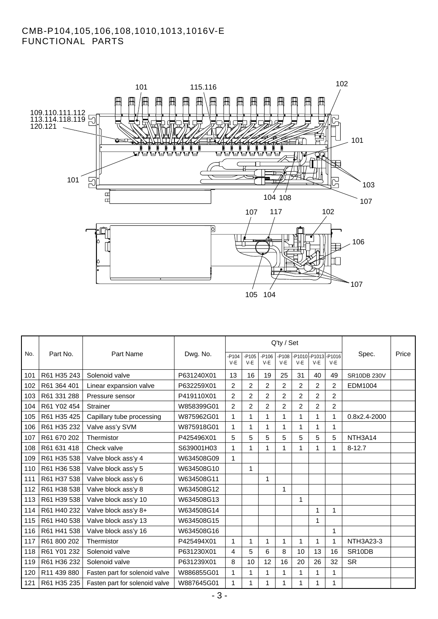# CMB-P104,105,106,108,1010,1013,1016V-E FUNCTIONAL PARTS



|     | Part No.    | Part Name                      | Dwg. No.   |                  |                   |                  | Q'ty / Set |                                     |                |                |                     |       |
|-----|-------------|--------------------------------|------------|------------------|-------------------|------------------|------------|-------------------------------------|----------------|----------------|---------------------|-------|
| No. |             |                                |            | $-P104$<br>$V-E$ | $-$ P105<br>$V-E$ | $-P106$<br>$V-E$ | $V-E$      | -P108 -P1010 -P1013 -P1016<br>$V-E$ | $V-E$          | $V-E$          | Spec.               | Price |
| 101 | R61 H35 243 | Solenoid valve                 | P631240X01 | 13               | 16                | 19               | 25         | 31                                  | 40             | 49             | SR10DB 230V         |       |
| 102 | R61 364 401 | Linear expansion valve         | P632259X01 | 2                | 2                 | $\overline{2}$   | 2          | 2                                   | $\overline{c}$ | 2              | EDM1004             |       |
| 103 | R61 331 288 | Pressure sensor                | P419110X01 | $\overline{2}$   | $\overline{2}$    | $\overline{2}$   | 2          | $\overline{2}$                      | $\overline{2}$ | $\overline{2}$ |                     |       |
| 104 | R61 Y02 454 | Strainer                       | W858399G01 | $\overline{2}$   | $\overline{2}$    | $\overline{2}$   | 2          | $\overline{2}$                      | $\overline{2}$ | 2              |                     |       |
| 105 | R61 H35 425 | Capillary tube processing      | W875962G01 | 1                | 1                 | 1                | 1          | 1                                   | 1              | 1              | 0.8x2.4-2000        |       |
| 106 | R61 H35 232 | Valve ass'y SVM                | W875918G01 | 1                | 1                 | 1                | 1          | 1                                   | 1              | 1              |                     |       |
| 107 | R61 670 202 | Thermistor                     | P425496X01 | 5                | 5                 | 5                | 5          | 5                                   | 5              | 5              | NTH3A14             |       |
| 108 | R61 631 418 | Check valve                    | S639001H03 | $\mathbf{1}$     | 1                 | 1                | 1          | 1                                   | 1              | 1              | $8 - 12.7$          |       |
| 109 | R61 H35 538 | Valve block ass'y 4            | W634508G09 | $\mathbf{1}$     |                   |                  |            |                                     |                |                |                     |       |
| 110 | R61 H36 538 | Valve block ass'y 5            | W634508G10 |                  | 1                 |                  |            |                                     |                |                |                     |       |
| 111 | R61 H37 538 | Valve block ass'y 6            | W634508G11 |                  |                   | 1                |            |                                     |                |                |                     |       |
| 112 | R61 H38 538 | Valve block ass'y 8            | W634508G12 |                  |                   |                  | 1          |                                     |                |                |                     |       |
| 113 | R61 H39 538 | Valve block ass'y 10           | W634508G13 |                  |                   |                  |            | 1                                   |                |                |                     |       |
| 114 | R61 H40 232 | Valve block ass'y 8+           | W634508G14 |                  |                   |                  |            |                                     | 1              | 1              |                     |       |
| 115 | R61 H40 538 | Valve block ass'y 13           | W634508G15 |                  |                   |                  |            |                                     | 1              |                |                     |       |
| 116 | R61 H41 538 | Valve block ass'y 16           | W634508G16 |                  |                   |                  |            |                                     |                | 1              |                     |       |
| 117 | R61 800 202 | Thermistor                     | P425494X01 | 1                | 1                 | 1                | 1          | 1                                   | 1              | 1              | NTH3A23-3           |       |
| 118 | R61 Y01 232 | Solenoid valve                 | P631230X01 | 4                | 5                 | 6                | 8          | 10                                  | 13             | 16             | SR <sub>10</sub> DB |       |
| 119 | R61 H36 232 | Solenoid valve                 | P631239X01 | 8                | 10                | 12               | 16         | 20                                  | 26             | 32             | <b>SR</b>           |       |
| 120 | R11 439 880 | Fasten part for solenoid valve | W886855G01 | 1                | 1                 | 1                |            | 1                                   | 1              | 1              |                     |       |
| 121 | R61 H35 235 | Fasten part for solenoid valve | W887645G01 | $\mathbf{1}$     | 1                 | 1                | 1          | 1                                   | 1              | 1              |                     |       |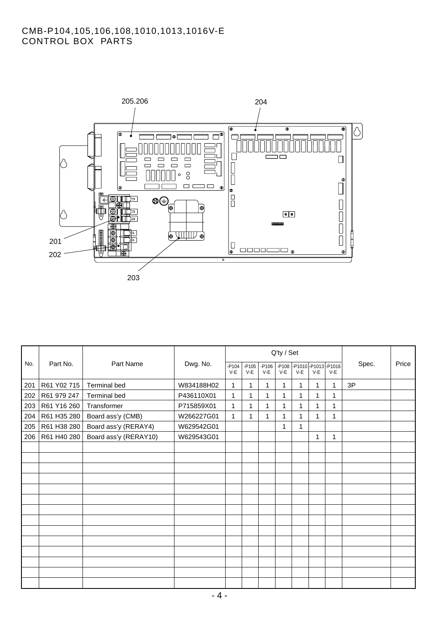# CMB-P104,105,106,108,1010,1013,1016V-E CONTROL BOX PARTS



|     | Part No.    | Part Name             | Dwg. No.   |                   |                   |                  | Q'ty / Set |              |              |                                     |       |       |
|-----|-------------|-----------------------|------------|-------------------|-------------------|------------------|------------|--------------|--------------|-------------------------------------|-------|-------|
| No. |             |                       |            | $-$ P104<br>$V-E$ | $-$ P105<br>$V-E$ | $-P106$<br>$V-E$ | $V-E$      | $V-E$        | $V-E$        | -P108 -P1010 -P1013 -P1016<br>$V-E$ | Spec. | Price |
| 201 | R61 Y02 715 | <b>Terminal bed</b>   | W834188H02 | 1                 | 1                 | 1                | 1          | $\mathbf{1}$ | 1            | 1                                   | 3P    |       |
| 202 | R61 979 247 | <b>Terminal bed</b>   | P436110X01 | 1                 |                   | 1                | 1          |              | 1            | 1                                   |       |       |
| 203 | R61 Y16 260 | Transformer           | P715859X01 | 1                 | 1                 | 1                | 1          |              | 1            | 1                                   |       |       |
| 204 | R61 H35 280 | Board ass'y (CMB)     | W266227G01 | $\mathbf{1}$      | 1                 | 1                | 1          | 1            | $\mathbf{1}$ | 1                                   |       |       |
| 205 | R61 H38 280 | Board ass'y (RERAY4)  | W629542G01 |                   |                   |                  | 1          | 1            |              |                                     |       |       |
| 206 | R61 H40 280 | Board ass'y (RERAY10) | W629543G01 |                   |                   |                  |            |              | $\mathbf{1}$ | 1                                   |       |       |
|     |             |                       |            |                   |                   |                  |            |              |              |                                     |       |       |
|     |             |                       |            |                   |                   |                  |            |              |              |                                     |       |       |
|     |             |                       |            |                   |                   |                  |            |              |              |                                     |       |       |
|     |             |                       |            |                   |                   |                  |            |              |              |                                     |       |       |
|     |             |                       |            |                   |                   |                  |            |              |              |                                     |       |       |
|     |             |                       |            |                   |                   |                  |            |              |              |                                     |       |       |
|     |             |                       |            |                   |                   |                  |            |              |              |                                     |       |       |
|     |             |                       |            |                   |                   |                  |            |              |              |                                     |       |       |
|     |             |                       |            |                   |                   |                  |            |              |              |                                     |       |       |
|     |             |                       |            |                   |                   |                  |            |              |              |                                     |       |       |
|     |             |                       |            |                   |                   |                  |            |              |              |                                     |       |       |
|     |             |                       |            |                   |                   |                  |            |              |              |                                     |       |       |
|     |             |                       |            |                   |                   |                  |            |              |              |                                     |       |       |
|     |             |                       |            |                   |                   |                  |            |              |              |                                     |       |       |